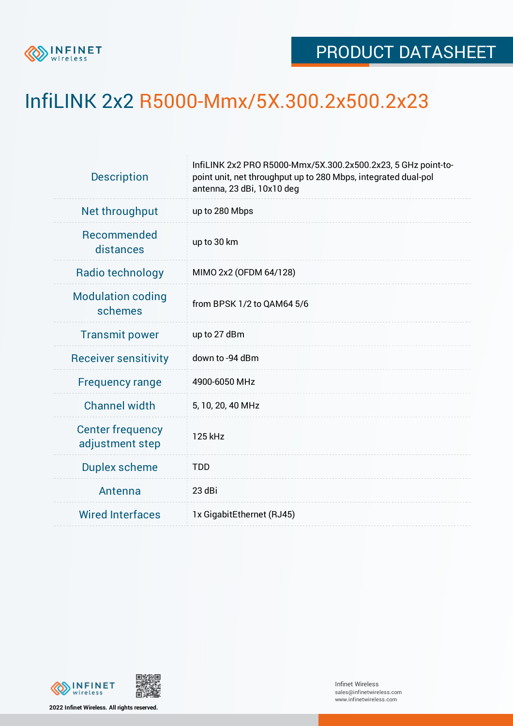

## InfiLINK 2x2 R5000-Mmx/5X.300.2x500.2x23

| <b>Description</b>                         | InfiLINK 2x2 PRO R5000-Mmx/5X.300.2x500.2x23, 5 GHz point-to-<br>point unit, net throughput up to 280 Mbps, integrated dual-pol<br>antenna, 23 dBi, 10x10 deg |  |  |  |  |
|--------------------------------------------|---------------------------------------------------------------------------------------------------------------------------------------------------------------|--|--|--|--|
| Net throughput                             | up to 280 Mbps                                                                                                                                                |  |  |  |  |
| Recommended<br>distances                   | up to 30 km                                                                                                                                                   |  |  |  |  |
| Radio technology                           | MIMO 2x2 (OFDM 64/128)                                                                                                                                        |  |  |  |  |
| <b>Modulation coding</b><br>schemes        | from BPSK 1/2 to QAM64 5/6                                                                                                                                    |  |  |  |  |
| <b>Transmit power</b>                      | up to 27 dBm                                                                                                                                                  |  |  |  |  |
| <b>Receiver sensitivity</b>                | down to -94 dBm                                                                                                                                               |  |  |  |  |
| <b>Frequency range</b>                     | 4900-6050 MHz                                                                                                                                                 |  |  |  |  |
| <b>Channel width</b>                       | 5, 10, 20, 40 MHz                                                                                                                                             |  |  |  |  |
| <b>Center frequency</b><br>adjustment step | 125 kHz                                                                                                                                                       |  |  |  |  |
| <b>Duplex scheme</b>                       | <b>TDD</b>                                                                                                                                                    |  |  |  |  |
| Antenna                                    | 23 dBi                                                                                                                                                        |  |  |  |  |
| <b>Wired Interfaces</b>                    | 1x GigabitEthernet (RJ45)                                                                                                                                     |  |  |  |  |





Infinet Wireless sales@infinetwireless.com www.infinetwireless.com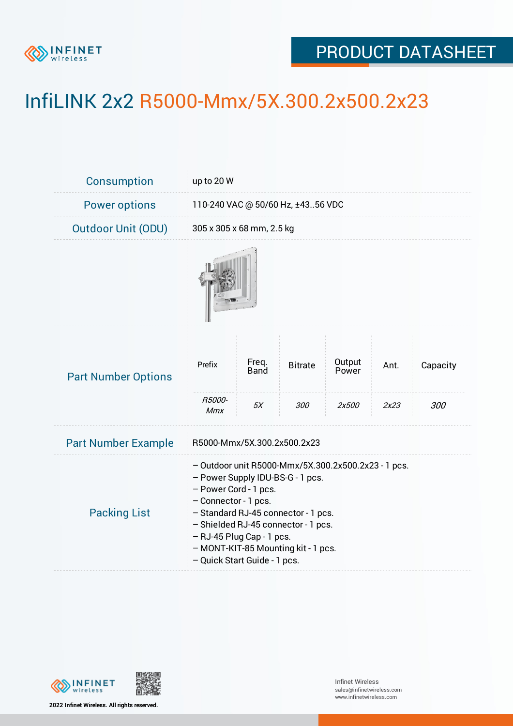

## PRODUCT DATASHEET

## InfiLINK 2x2 R5000-Mmx/5X.300.2x500.2x23

| <b>Consumption</b>         | up to 20 W                                                                                                                                                                                                                                                                                                                 |                            |                       |                          |              |                 |  |  |
|----------------------------|----------------------------------------------------------------------------------------------------------------------------------------------------------------------------------------------------------------------------------------------------------------------------------------------------------------------------|----------------------------|-----------------------|--------------------------|--------------|-----------------|--|--|
| <b>Power options</b>       | 110-240 VAC @ 50/60 Hz, ±4356 VDC                                                                                                                                                                                                                                                                                          |                            |                       |                          |              |                 |  |  |
| <b>Outdoor Unit (ODU)</b>  | 305 x 305 x 68 mm, 2.5 kg                                                                                                                                                                                                                                                                                                  |                            |                       |                          |              |                 |  |  |
|                            |                                                                                                                                                                                                                                                                                                                            |                            |                       |                          |              |                 |  |  |
| <b>Part Number Options</b> | Prefix<br>R5000-                                                                                                                                                                                                                                                                                                           | Freq.<br><b>Band</b><br>5X | <b>Bitrate</b><br>300 | Output<br>Power<br>2x500 | Ant.<br>2x23 | Capacity<br>300 |  |  |
| <b>Part Number Example</b> | Mmx<br>R5000-Mmx/5X.300.2x500.2x23                                                                                                                                                                                                                                                                                         |                            |                       |                          |              |                 |  |  |
| <b>Packing List</b>        | - Outdoor unit R5000-Mmx/5X.300.2x500.2x23 - 1 pcs.<br>- Power Supply IDU-BS-G - 1 pcs.<br>- Power Cord - 1 pcs.<br>- Connector - 1 pcs.<br>- Standard RJ-45 connector - 1 pcs.<br>- Shielded RJ-45 connector - 1 pcs.<br>- RJ-45 Plug Cap - 1 pcs.<br>- MONT-KIT-85 Mounting kit - 1 pcs.<br>- Quick Start Guide - 1 pcs. |                            |                       |                          |              |                 |  |  |



**2022 Infinet Wireless. All rights reserved.**

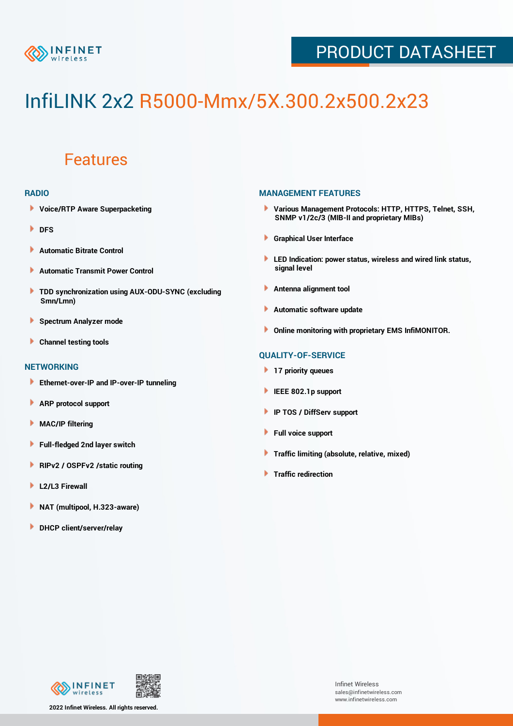

## PRODUCT DATASHEET

# InfiLINK 2x2 R5000-Mmx/5X.300.2x500.2x23

### Features

#### **RADIO**

- **Voice/RTP Aware Superpacketing**
- ٠ **DFS**
- **Automatic Bitrate Control** Þ
- Þ **Automatic Transmit Power Control**
- ь **TDD synchronization using AUX-ODU-SYNC (excluding Smn/Lmn)**
- **Spectrum Analyzer mode** ۰
- **Channel testing tools** ١

#### **NETWORKING**

- **Ethernet-over-IP and IP-over-IP tunneling**
- **ARP protocol support** ٠
- ۱ **MAC/IP filtering**
- Þ **Full-fledged 2nd layer switch**
- Þ **RIPv2 / OSPFv2 /static routing**
- **L2/L3 Firewall** Þ
- **NAT (multipool, H.323-aware)** Þ
- Þ **DHCP client/server/relay**

#### **MANAGEMENT FEATURES**

- **Various Management Protocols: HTTP, HTTPS, Telnet, SSH, SNMP v1/2c/3 (MIB-II and proprietary MIBs)**
- **Graphical User Interface**
- **LED Indication: power status, wireless and wired link status, signal level**
- **Antenna alignment tool**
- ٠ **Automatic software update**
- **Online monitoring with proprietary EMS InfiMONITOR.**

#### **QUALITY-OF-SERVICE**

- **17 priority queues**
- **IEEE 802.1p support**
- **IP TOS / DiffServ support**
- ٠ **Full voice support**
- **Traffic limiting (absolute, relative, mixed)** ٠
- **Traffic redirection**